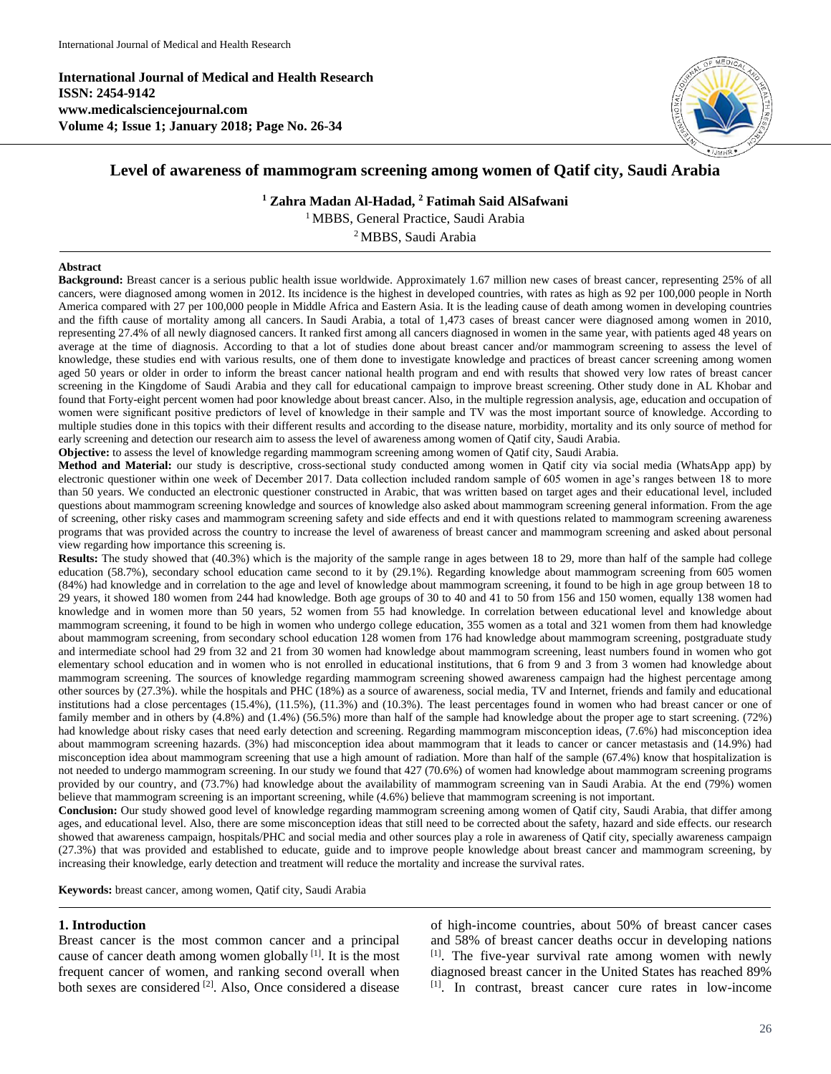**International Journal of Medical and Health Research ISSN: 2454-9142 www.medicalsciencejournal.com Volume 4; Issue 1; January 2018; Page No. 26-34**



# **Level of awareness of mammogram screening among women of Qatif city, Saudi Arabia**

**<sup>1</sup> Zahra Madan Al-Hadad, <sup>2</sup> Fatimah Said AlSafwani**

<sup>1</sup> MBBS, General Practice, Saudi Arabia

<sup>2</sup>MBBS, Saudi Arabia

#### **Abstract**

**Background:** Breast cancer is a serious public health issue worldwide. Approximately 1.67 million new cases of breast cancer, representing 25% of all cancers, were diagnosed among women in 2012. Its incidence is the highest in developed countries, with rates as high as 92 per 100,000 people in North America compared with 27 per 100,000 people in Middle Africa and Eastern Asia. It is the leading cause of death among women in developing countries and the fifth cause of mortality among all cancers. In Saudi Arabia, a total of 1,473 cases of breast cancer were diagnosed among women in 2010, representing 27.4% of all newly diagnosed cancers. It ranked first among all cancers diagnosed in women in the same year, with patients aged 48 years on average at the time of diagnosis. According to that a lot of studies done about breast cancer and/or mammogram screening to assess the level of knowledge, these studies end with various results, one of them done to investigate knowledge and practices of breast cancer screening among women aged 50 years or older in order to inform the breast cancer national health program and end with results that showed very low rates of breast cancer screening in the Kingdome of Saudi Arabia and they call for educational campaign to improve breast screening. Other study done in AL Khobar and found that Forty-eight percent women had poor knowledge about breast cancer. Also, in the multiple regression analysis, age, education and occupation of women were significant positive predictors of level of knowledge in their sample and TV was the most important source of knowledge. According to multiple studies done in this topics with their different results and according to the disease nature, morbidity, mortality and its only source of method for early screening and detection our research aim to assess the level of awareness among women of Qatif city, Saudi Arabia.

**Objective:** to assess the level of knowledge regarding mammogram screening among women of Qatif city, Saudi Arabia.

**Method and Material:** our study is descriptive, cross-sectional study conducted among women in Qatif city via social media (WhatsApp app) by electronic questioner within one week of December 2017. Data collection included random sample of 605 women in age's ranges between 18 to more than 50 years. We conducted an electronic questioner constructed in Arabic, that was written based on target ages and their educational level, included questions about mammogram screening knowledge and sources of knowledge also asked about mammogram screening general information. From the age of screening, other risky cases and mammogram screening safety and side effects and end it with questions related to mammogram screening awareness programs that was provided across the country to increase the level of awareness of breast cancer and mammogram screening and asked about personal view regarding how importance this screening is.

**Results:** The study showed that (40.3%) which is the majority of the sample range in ages between 18 to 29, more than half of the sample had college education (58.7%), secondary school education came second to it by (29.1%). Regarding knowledge about mammogram screening from 605 women (84%) had knowledge and in correlation to the age and level of knowledge about mammogram screening, it found to be high in age group between 18 to 29 years, it showed 180 women from 244 had knowledge. Both age groups of 30 to 40 and 41 to 50 from 156 and 150 women, equally 138 women had knowledge and in women more than 50 years, 52 women from 55 had knowledge. In correlation between educational level and knowledge about mammogram screening, it found to be high in women who undergo college education, 355 women as a total and 321 women from them had knowledge about mammogram screening, from secondary school education 128 women from 176 had knowledge about mammogram screening, postgraduate study and intermediate school had 29 from 32 and 21 from 30 women had knowledge about mammogram screening, least numbers found in women who got elementary school education and in women who is not enrolled in educational institutions, that 6 from 9 and 3 from 3 women had knowledge about mammogram screening. The sources of knowledge regarding mammogram screening showed awareness campaign had the highest percentage among other sources by (27.3%). while the hospitals and PHC (18%) as a source of awareness, social media, TV and Internet, friends and family and educational institutions had a close percentages (15.4%), (11.5%), (11.3%) and (10.3%). The least percentages found in women who had breast cancer or one of family member and in others by (4.8%) and (1.4%) (56.5%) more than half of the sample had knowledge about the proper age to start screening. (72%) had knowledge about risky cases that need early detection and screening. Regarding mammogram misconception ideas, (7.6%) had misconception idea about mammogram screening hazards. (3%) had misconception idea about mammogram that it leads to cancer or cancer metastasis and (14.9%) had misconception idea about mammogram screening that use a high amount of radiation. More than half of the sample (67.4%) know that hospitalization is not needed to undergo mammogram screening. In our study we found that 427 (70.6%) of women had knowledge about mammogram screening programs provided by our country, and (73.7%) had knowledge about the availability of mammogram screening van in Saudi Arabia. At the end (79%) women believe that mammogram screening is an important screening, while (4.6%) believe that mammogram screening is not important.

**Conclusion:** Our study showed good level of knowledge regarding mammogram screening among women of Qatif city, Saudi Arabia, that differ among ages, and educational level. Also, there are some misconception ideas that still need to be corrected about the safety, hazard and side effects. our research showed that awareness campaign, hospitals/PHC and social media and other sources play a role in awareness of Qatif city, specially awareness campaign (27.3%) that was provided and established to educate, guide and to improve people knowledge about breast cancer and mammogram screening, by increasing their knowledge, early detection and treatment will reduce the mortality and increase the survival rates.

**Keywords:** breast cancer, among women, Qatif city, Saudi Arabia

### **1. Introduction**

Breast cancer is the most common cancer and a principal cause of cancer death among women globally [1]. It is the most frequent cancer of women, and ranking second overall when both sexes are considered <sup>[2]</sup>. Also, Once considered a disease of high-income countries, about 50% of breast cancer cases and 58% of breast cancer deaths occur in developing nations [1] . The five-year survival rate among women with newly diagnosed breast cancer in the United States has reached 89% [1] . In contrast, breast cancer cure rates in low-income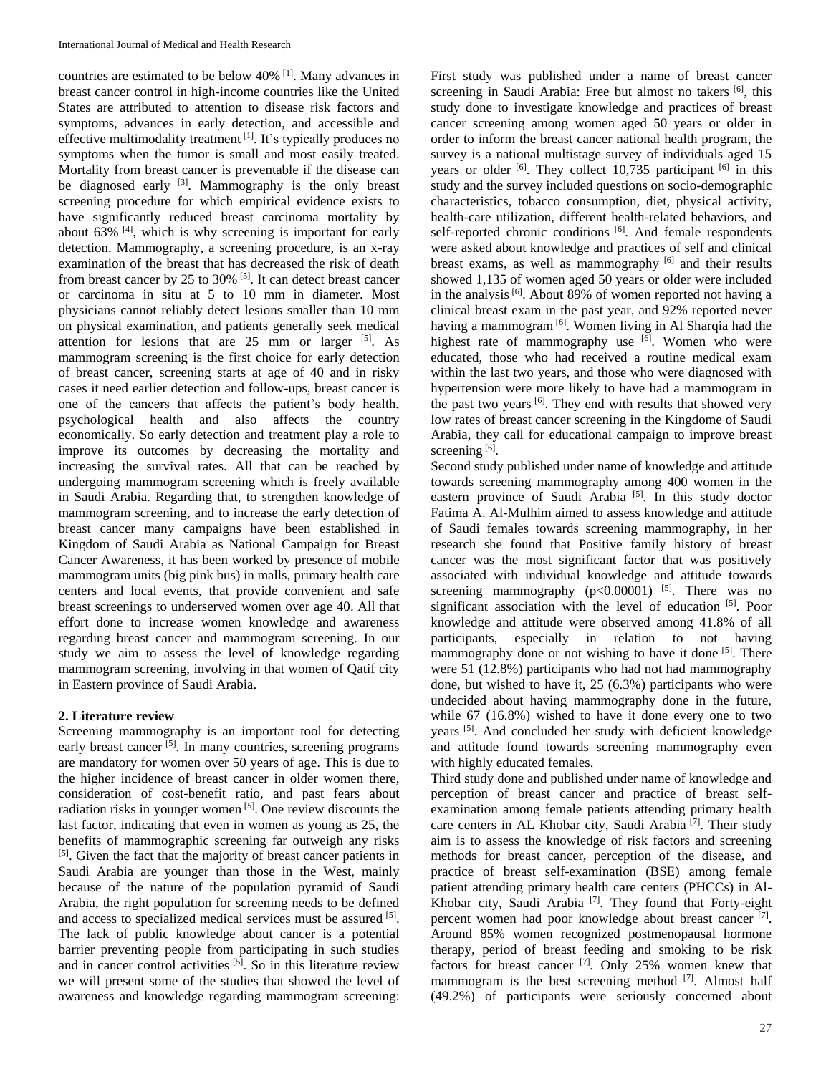countries are estimated to be below 40% [1] . Many advances in breast cancer control in high-income countries like the United States are attributed to attention to disease risk factors and symptoms, advances in early detection, and accessible and effective multimodality treatment [1]. It's typically produces no symptoms when the tumor is small and most easily treated. Mortality from breast cancer is preventable if the disease can be diagnosed early  $[3]$ . Mammography is the only breast screening procedure for which empirical evidence exists to have significantly reduced breast carcinoma mortality by about  $63\%$  <sup>[4]</sup>, which is why screening is important for early detection. Mammography, a screening procedure, is an x-ray examination of the breast that has decreased the risk of death from breast cancer by 25 to  $30\%$ <sup>[5]</sup>. It can detect breast cancer or carcinoma in situ at 5 to 10 mm in diameter. Most physicians cannot reliably detect lesions smaller than 10 mm on physical examination, and patients generally seek medical attention for lesions that are  $25 \,$  mm or larger  $[5]$ . As mammogram screening is the first choice for early detection of breast cancer, screening starts at age of 40 and in risky cases it need earlier detection and follow-ups, breast cancer is one of the cancers that affects the patient's body health, psychological health and also affects the country economically. So early detection and treatment play a role to improve its outcomes by decreasing the mortality and increasing the survival rates. All that can be reached by undergoing mammogram screening which is freely available in Saudi Arabia. Regarding that, to strengthen knowledge of mammogram screening, and to increase the early detection of breast cancer many campaigns have been established in Kingdom of Saudi Arabia as National Campaign for Breast Cancer Awareness, it has been worked by presence of mobile mammogram units (big pink bus) in malls, primary health care centers and local events, that provide convenient and safe breast screenings to underserved women over age 40. All that effort done to increase women knowledge and awareness regarding breast cancer and mammogram screening. In our study we aim to assess the level of knowledge regarding mammogram screening, involving in that women of Qatif city in Eastern province of Saudi Arabia.

## **2. Literature review**

Screening mammography is an important tool for detecting early breast cancer<sup>[5]</sup>. In many countries, screening programs are mandatory for women over 50 years of age. This is due to the higher incidence of breast cancer in older women there, consideration of cost-benefit ratio, and past fears about radiation risks in younger women<sup>[5]</sup>. One review discounts the last factor, indicating that even in women as young as 25, the benefits of mammographic screening far outweigh any risks [5]. Given the fact that the majority of breast cancer patients in Saudi Arabia are younger than those in the West, mainly because of the nature of the population pyramid of Saudi Arabia, the right population for screening needs to be defined and access to specialized medical services must be assured [5]. The lack of public knowledge about cancer is a potential barrier preventing people from participating in such studies and in cancer control activities [5]. So in this literature review we will present some of the studies that showed the level of awareness and knowledge regarding mammogram screening:

First study was published under a name of breast cancer screening in Saudi Arabia: Free but almost no takers <sup>[6]</sup>, this study done to investigate knowledge and practices of breast cancer screening among women aged 50 years or older in order to inform the breast cancer national health program, the survey is a national multistage survey of individuals aged 15 years or older <sup>[6]</sup>. They collect 10,735 participant <sup>[6]</sup> in this study and the survey included questions on socio-demographic characteristics, tobacco consumption, diet, physical activity, health-care utilization, different health-related behaviors, and self-reported chronic conditions [6]. And female respondents were asked about knowledge and practices of self and clinical breast exams, as well as mammography [6] and their results showed 1,135 of women aged 50 years or older were included in the analysis<sup>[6]</sup>. About 89% of women reported not having a clinical breast exam in the past year, and 92% reported never having a mammogram<sup>[6]</sup>. Women living in Al Sharqia had the highest rate of mammography use <sup>[6]</sup>. Women who were educated, those who had received a routine medical exam within the last two years, and those who were diagnosed with hypertension were more likely to have had a mammogram in the past two years <sup>[6]</sup>. They end with results that showed very low rates of breast cancer screening in the Kingdome of Saudi Arabia, they call for educational campaign to improve breast screening<sup>[6]</sup>.

Second study published under name of knowledge and attitude towards screening mammography among 400 women in the eastern province of Saudi Arabia<sup>[5]</sup>. In this study doctor Fatima A. Al-Mulhim aimed to assess knowledge and attitude of Saudi females towards screening mammography, in her research she found that Positive family history of breast cancer was the most significant factor that was positively associated with individual knowledge and attitude towards screening mammography  $(p<0.00001)$  <sup>[5]</sup>. There was no significant association with the level of education [5]. Poor knowledge and attitude were observed among 41.8% of all participants, especially in relation to not having mammography done or not wishing to have it done <sup>[5]</sup>. There were 51 (12.8%) participants who had not had mammography done, but wished to have it, 25 (6.3%) participants who were undecided about having mammography done in the future, while 67 (16.8%) wished to have it done every one to two years<sup>[5]</sup>. And concluded her study with deficient knowledge and attitude found towards screening mammography even with highly educated females.

Third study done and published under name of knowledge and perception of breast cancer and practice of breast selfexamination among female patients attending primary health care centers in AL Khobar city, Saudi Arabia<sup>[7]</sup>. Their study aim is to assess the knowledge of risk factors and screening methods for breast cancer, perception of the disease, and practice of breast self-examination (BSE) among female patient attending primary health care centers (PHCCs) in Al-Khobar city, Saudi Arabia<sup>[7]</sup>. They found that Forty-eight percent women had poor knowledge about breast cancer [7]. Around 85% women recognized postmenopausal hormone therapy, period of breast feeding and smoking to be risk factors for breast cancer<sup>[7]</sup>. Only 25% women knew that mammogram is the best screening method  $[7]$ . Almost half (49.2%) of participants were seriously concerned about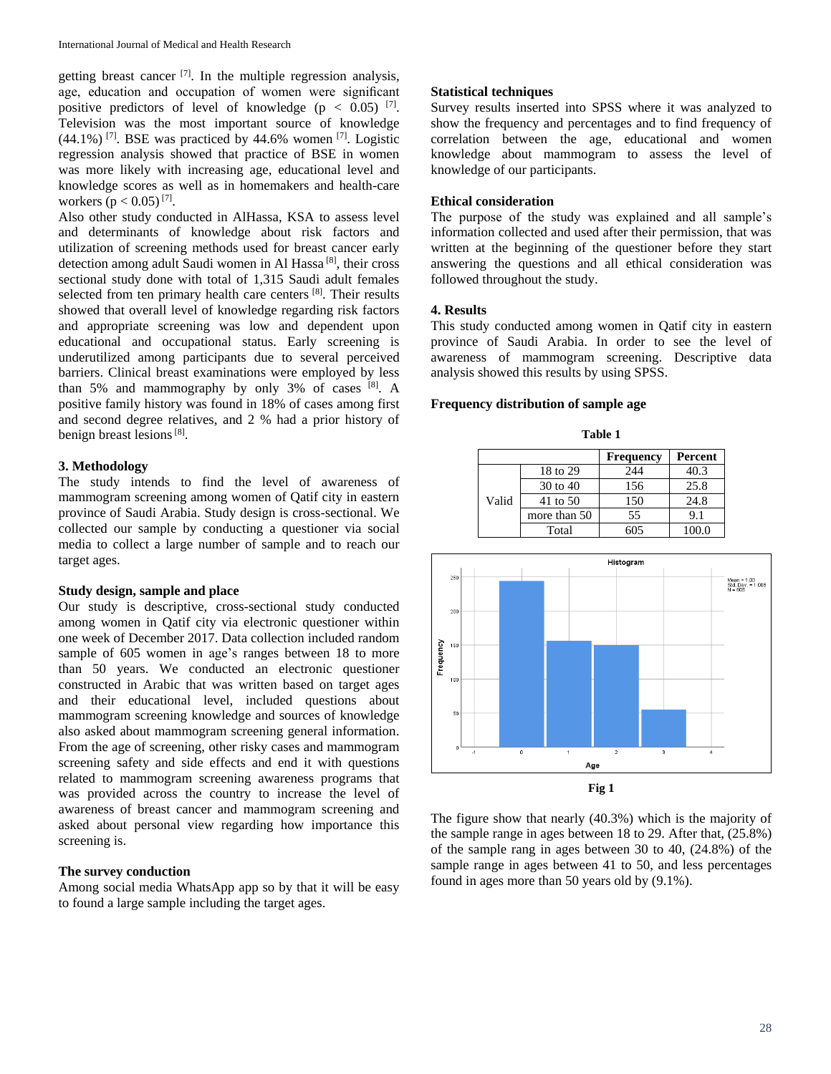getting breast cancer<sup>[7]</sup>. In the multiple regression analysis, age, education and occupation of women were significant positive predictors of level of knowledge ( $p < 0.05$ ) [7]. Television was the most important source of knowledge  $(44.1\%)$ <sup>[7]</sup>. BSE was practiced by 44.6% women<sup>[7]</sup>. Logistic regression analysis showed that practice of BSE in women was more likely with increasing age, educational level and knowledge scores as well as in homemakers and health-care workers  $(p < 0.05)^{7}$ ].

Also other study conducted in AlHassa, KSA to assess level and determinants of knowledge about risk factors and utilization of screening methods used for breast cancer early detection among adult Saudi women in Al Hassa<sup>[8]</sup>, their cross sectional study done with total of 1.315 Saudi adult females selected from ten primary health care centers [8]. Their results showed that overall level of knowledge regarding risk factors and appropriate screening was low and dependent upon educational and occupational status. Early screening is underutilized among participants due to several perceived barriers. Clinical breast examinations were employed by less than 5% and mammography by only 3% of cases [8]. A positive family history was found in 18% of cases among first and second degree relatives, and 2 % had a prior history of benign breast lesions<sup>[8]</sup>.

## **3. Methodology**

The study intends to find the level of awareness of mammogram screening among women of Qatif city in eastern province of Saudi Arabia. Study design is cross-sectional. We collected our sample by conducting a questioner via social media to collect a large number of sample and to reach our target ages.

## **Study design, sample and place**

Our study is descriptive, cross-sectional study conducted among women in Qatif city via electronic questioner within one week of December 2017. Data collection included random sample of 605 women in age's ranges between 18 to more than 50 years. We conducted an electronic questioner constructed in Arabic that was written based on target ages and their educational level, included questions about mammogram screening knowledge and sources of knowledge also asked about mammogram screening general information. From the age of screening, other risky cases and mammogram screening safety and side effects and end it with questions related to mammogram screening awareness programs that was provided across the country to increase the level of awareness of breast cancer and mammogram screening and asked about personal view regarding how importance this screening is.

# **The survey conduction**

Among social media WhatsApp app so by that it will be easy to found a large sample including the target ages.

### **Statistical techniques**

Survey results inserted into SPSS where it was analyzed to show the frequency and percentages and to find frequency of correlation between the age, educational and women knowledge about mammogram to assess the level of knowledge of our participants.

## **Ethical consideration**

The purpose of the study was explained and all sample's information collected and used after their permission, that was written at the beginning of the questioner before they start answering the questions and all ethical consideration was followed throughout the study.

### **4. Results**

This study conducted among women in Qatif city in eastern province of Saudi Arabia. In order to see the level of awareness of mammogram screening. Descriptive data analysis showed this results by using SPSS.

#### **Frequency distribution of sample age**

| таше г           |              |     |         |
|------------------|--------------|-----|---------|
| <b>Frequency</b> |              |     | Percent |
|                  | 18 to 29     | 244 | 40.3    |
|                  | 30 to 40     | 156 | 25.8    |
| Valid            | 41 to 50     | 150 | 24.8    |
|                  | more than 50 | 55  | 9.1     |
|                  | Total        | 605 | 100.0   |

**Table 1**



The figure show that nearly (40.3%) which is the majority of the sample range in ages between 18 to 29. After that, (25.8%) of the sample rang in ages between 30 to 40, (24.8%) of the sample range in ages between 41 to 50, and less percentages found in ages more than 50 years old by (9.1%).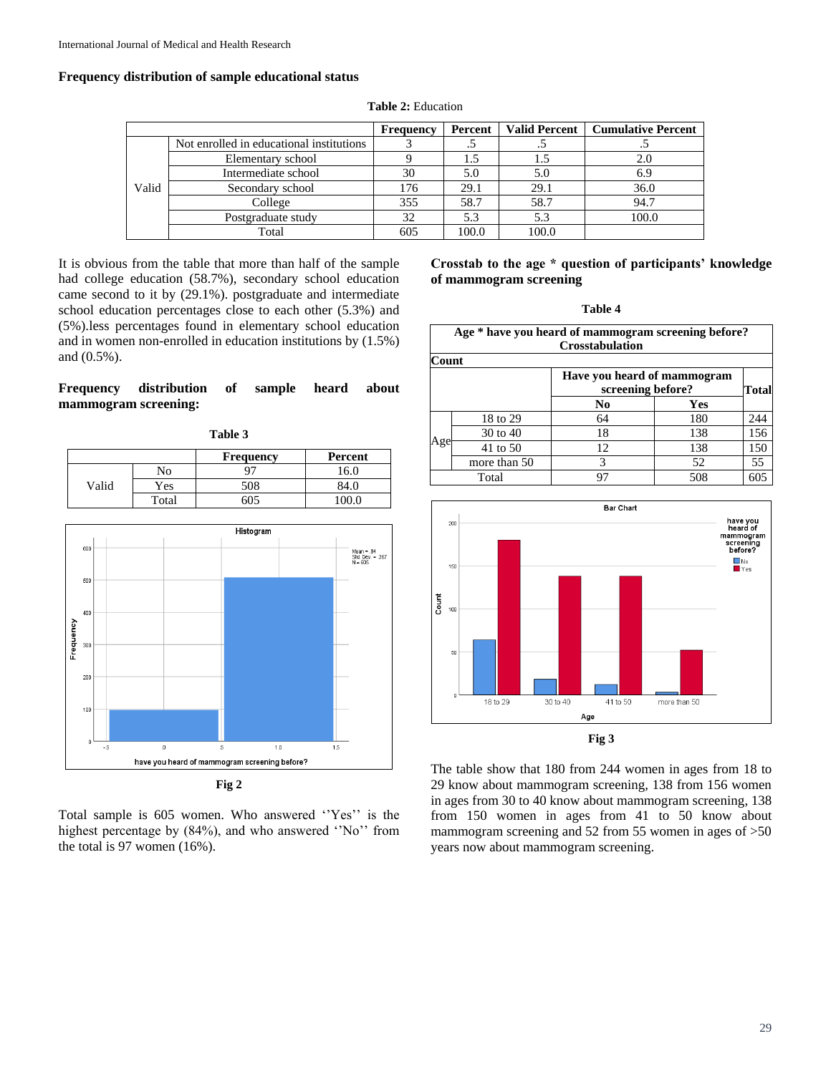and (0.5%).

#### **Frequency distribution of sample educational status**

|       |                                          | <b>Frequency</b> | Percent | <b>Valid Percent</b> | <b>Cumulative Percent</b> |
|-------|------------------------------------------|------------------|---------|----------------------|---------------------------|
|       | Not enrolled in educational institutions |                  |         |                      |                           |
|       | Elementary school                        |                  | 1.5     |                      | 2.0                       |
|       | Intermediate school                      | 30               | 5.0     | 5.0                  | 6.9                       |
| Valid | Secondary school                         | 176              | 29.1    | 29.1                 | 36.0                      |
|       | College                                  | 355              | 58.7    | 58.7                 | 94.7                      |
|       | Postgraduate study                       | 32               | 5.3     | 5.3                  | 100.0                     |
|       | Total                                    | 605              | 100.0   | 100.0                |                           |

**Table 2:** Education

It is obvious from the table that more than half of the sample had college education (58.7%), secondary school education came second to it by (29.1%). postgraduate and intermediate school education percentages close to each other (5.3%) and (5%).less percentages found in elementary school education and in women non-enrolled in education institutions by (1.5%)

## **Frequency distribution of sample heard about mammogram screening:**

| Table 3 |       |                  |         |
|---------|-------|------------------|---------|
|         |       | <b>Frequency</b> | Percent |
|         | No    | q.               | 16.0    |
| Valid   | Yes   | 508              | 84.0    |
|         | Total | 605              | 100.0   |



Total sample is 605 women. Who answered ''Yes'' is the highest percentage by (84%), and who answered ''No'' from the total is 97 women (16%).

**Crosstab to the age \* question of participants' knowledge of mammogram screening**

**Table 4**

| Age * have you heard of mammogram screening before?<br><b>Crosstabulation</b> |                           |    |       |     |  |  |
|-------------------------------------------------------------------------------|---------------------------|----|-------|-----|--|--|
| Count                                                                         |                           |    |       |     |  |  |
| Have you heard of mammogram<br>screening before?                              |                           |    | Total |     |  |  |
|                                                                               |                           | No | Yes   |     |  |  |
|                                                                               | 18 to 29                  | 64 | 180   | 244 |  |  |
|                                                                               | 30 to 40                  | 18 | 138   | 156 |  |  |
| Age                                                                           | 41 to 50                  | 12 | 138   | 150 |  |  |
|                                                                               | more than 50              | 3  | 52    | 55  |  |  |
|                                                                               | 508<br>605<br>Total<br>97 |    |       |     |  |  |



The table show that 180 from 244 women in ages from 18 to 29 know about mammogram screening, 138 from 156 women in ages from 30 to 40 know about mammogram screening, 138 from 150 women in ages from 41 to 50 know about mammogram screening and 52 from 55 women in ages of  $>50$ years now about mammogram screening.

#### 29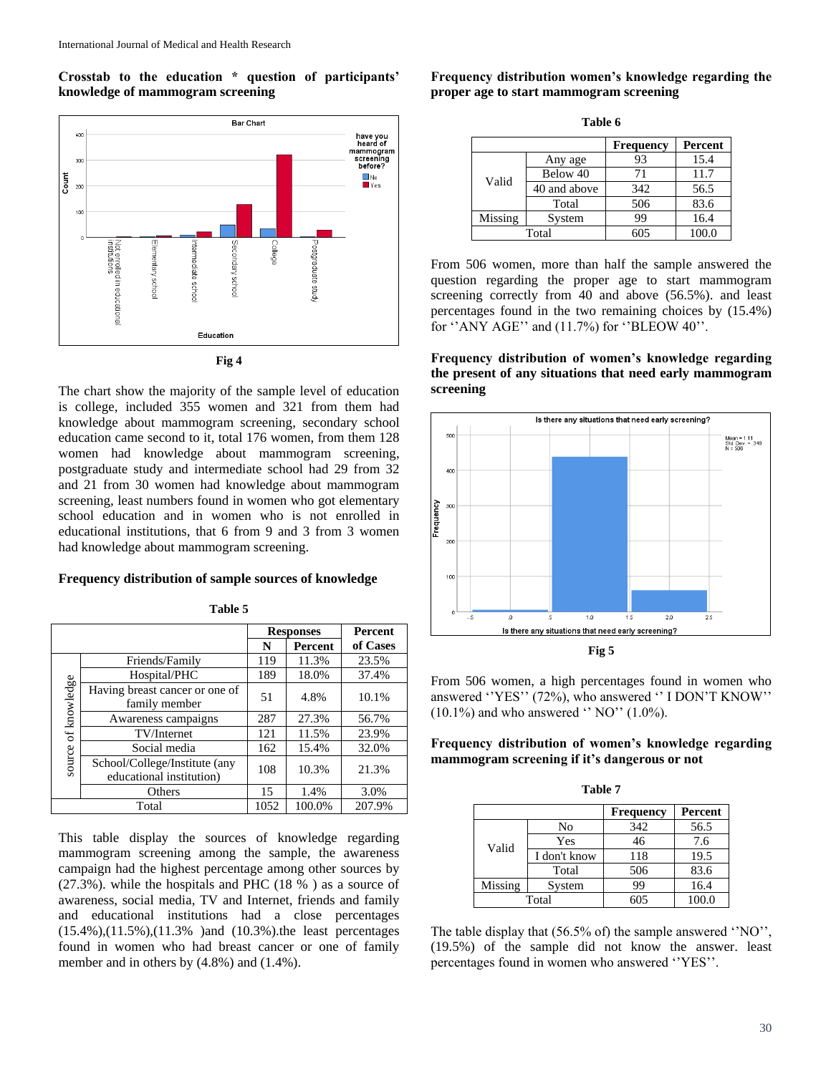**Crosstab to the education \* question of participants' knowledge of mammogram screening**





The chart show the majority of the sample level of education is college, included 355 women and 321 from them had knowledge about mammogram screening, secondary school education came second to it, total 176 women, from them 128 women had knowledge about mammogram screening, postgraduate study and intermediate school had 29 from 32 and 21 from 30 women had knowledge about mammogram screening, least numbers found in women who got elementary school education and in women who is not enrolled in educational institutions, that 6 from 9 and 3 from 3 women had knowledge about mammogram screening.

### **Frequency distribution of sample sources of knowledge**

**Table 5**

**Responses Percent N Percent of Cases** Friends/Family 119 11.3% 23.5% Hospital/PHC 189 18.0% 37.4% source of knowledge source of knowledge Having breast cancer or one of  $\begin{array}{|c|c|c|c|c|c|c|c|} \hline \text{for each of the one of} & 51 & 4.8\% & 10.1\% \hline \end{array}$ Awareness campaigns  $\begin{array}{|c|c|c|c|c|c|} \hline 287 & 27.3\% & 56.7\% \hline \end{array}$ TV/Internet 121 11.5% 23.9% Social media 162 15.4% 32.0% School/College/Institute (any  $\frac{1000}{\text{Conege/insutive (any)}}$  108 10.3% 21.3% Others 15 1.4% 3.0% Total 1052 100.0% 207.9%

This table display the sources of knowledge regarding mammogram screening among the sample, the awareness campaign had the highest percentage among other sources by (27.3%). while the hospitals and PHC (18 % ) as a source of awareness, social media, TV and Internet, friends and family and educational institutions had a close percentages (15.4%),(11.5%),(11.3% )and (10.3%).the least percentages found in women who had breast cancer or one of family member and in others by (4.8%) and (1.4%).

**Frequency distribution women's knowledge regarding the proper age to start mammogram screening**

**Table 6**

|         |              | <b>Frequency</b> | Percent |
|---------|--------------|------------------|---------|
|         | Any age      | 93               | 15.4    |
| Valid   | Below 40     | 71               | 11.7    |
|         | 40 and above | 342              | 56.5    |
|         | Total        | 506              | 83.6    |
| Missing | System       | 99               | 16.4    |
| Total   |              | 605              | 100.0   |

From 506 women, more than half the sample answered the question regarding the proper age to start mammogram screening correctly from 40 and above (56.5%). and least percentages found in the two remaining choices by (15.4%) for ''ANY AGE'' and (11.7%) for ''BLEOW 40''.

**Frequency distribution of women's knowledge regarding the present of any situations that need early mammogram screening**



**Fig 5**

From 506 women, a high percentages found in women who answered ''YES'' (72%), who answered '' I DON'T KNOW''  $(10.1\%)$  and who answered  $\degree$  NO $\degree$  (1.0%).

**Frequency distribution of women's knowledge regarding mammogram screening if it's dangerous or not**

| Table 7              |              |     |       |  |
|----------------------|--------------|-----|-------|--|
| Percent<br>Frequency |              |     |       |  |
|                      | No           | 342 | 56.5  |  |
| Valid                | Yes          | 46  | 7.6   |  |
|                      | I don't know | 118 | 19.5  |  |
|                      | Total        | 506 | 83.6  |  |
| Missing              | System       | 99  | 16.4  |  |
| Total                |              | 605 | 100.0 |  |

The table display that (56.5% of) the sample answered 'NO'', (19.5%) of the sample did not know the answer. least percentages found in women who answered ''YES''.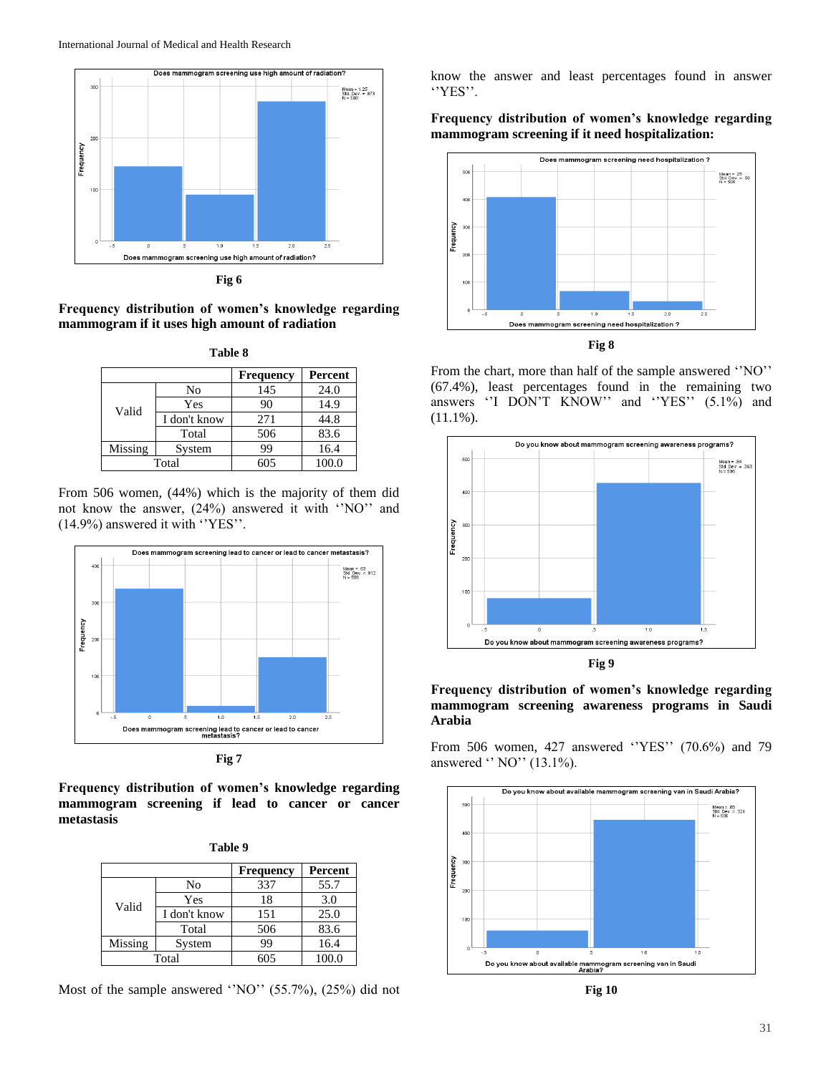

**Fig 6**

**Frequency distribution of women's knowledge regarding mammogram if it uses high amount of radiation**

| Table 8                     |              |     |       |  |
|-----------------------------|--------------|-----|-------|--|
| Percent<br><b>Frequency</b> |              |     |       |  |
| Valid                       | No           | 145 | 24.0  |  |
|                             | Yes          | 90  | 14.9  |  |
|                             | I don't know | 271 | 44.8  |  |
|                             | Total        | 506 | 83.6  |  |
| Missing                     | System       | 99  | 16.4  |  |
| Total                       |              | 605 | 100.0 |  |

From 506 women, (44%) which is the majority of them did not know the answer, (24%) answered it with ''NO'' and (14.9%) answered it with ''YES''.



**Fig 7**

**Frequency distribution of women's knowledge regarding mammogram screening if lead to cancer or cancer metastasis**

| anı<br>n |  |
|----------|--|
|----------|--|

|         |              | <b>Frequency</b> | Percent |
|---------|--------------|------------------|---------|
| Valid   | No           | 337              | 55.7    |
|         | Yes          | 18               | 3.0     |
|         | I don't know | 151              | 25.0    |
|         | Total        | 506              | 83.6    |
| Missing | System       | 99               | 16.4    |
| Total   |              | 605              | 100.0   |

Most of the sample answered 'NO'' (55.7%), (25%) did not

know the answer and least percentages found in answer ''YES''.

**Frequency distribution of women's knowledge regarding mammogram screening if it need hospitalization:**



From the chart, more than half of the sample answered ''NO'' (67.4%), least percentages found in the remaining two answers "I DON'T KNOW" and "YES" (5.1%) and (11.1%).



**Frequency distribution of women's knowledge regarding mammogram screening awareness programs in Saudi Arabia**

From 506 women, 427 answered ''YES'' (70.6%) and 79 answered '' NO'' (13.1%).



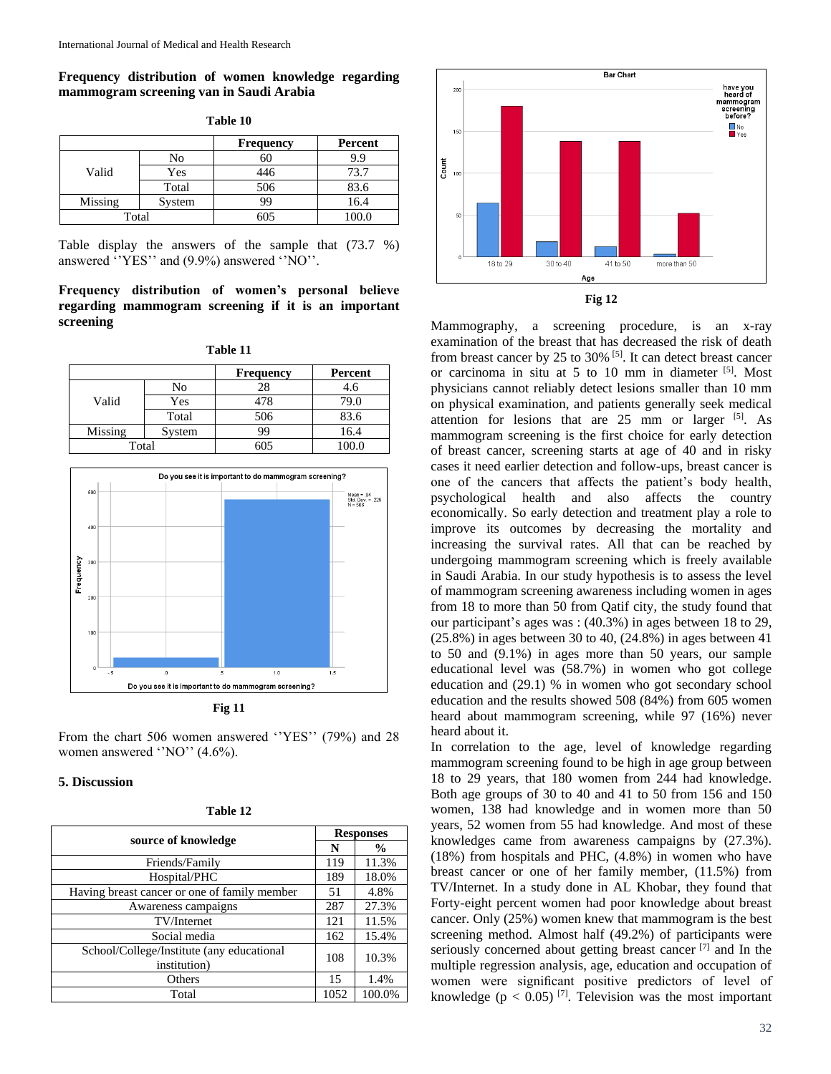**Frequency distribution of women knowledge regarding mammogram screening van in Saudi Arabia**

**Table 10**

|         |        | <b>Frequency</b> | Percent |
|---------|--------|------------------|---------|
|         | No     | 60               | 9.9     |
| Valid   | Yes    | 446              | 73.7    |
|         | Total  | 506              | 83.6    |
| Missing | System | 99               | 16.4    |
| Total   |        | 605              | 100.0   |

Table display the answers of the sample that (73.7 %) answered ''YES'' and (9.9%) answered ''NO''.

## **Frequency distribution of women's personal believe regarding mammogram screening if it is an important screening**

| Ш<br>И |  |
|--------|--|
|        |  |

|         |        | <b>Frequency</b> | Percent |
|---------|--------|------------------|---------|
|         | No     | 28               | 4.6     |
| Valid   | Yes    | 478              | 79.0    |
|         | Total  | 506              | 83.6    |
| Missing | System | 99               | 16.4    |
| Total   |        | 605              | 100.0   |



**Fig 11**

From the chart 506 women answered ''YES'' (79%) and 28 women answered ''NO'' (4.6%).

## **5. Discussion**

| Table |  |
|-------|--|
|-------|--|

| source of knowledge                                       | <b>Responses</b> |               |
|-----------------------------------------------------------|------------------|---------------|
|                                                           | N                | $\frac{0}{0}$ |
| Friends/Family                                            | 119              | 11.3%         |
| Hospital/PHC                                              | 189              | 18.0%         |
| Having breast cancer or one of family member              | 51               | 4.8%          |
| Awareness campaigns                                       | 287              | 27.3%         |
| TV/Internet                                               | 121              | 11.5%         |
| Social media                                              | 162              | 15.4%         |
| School/College/Institute (any educational<br>institution) | 108              | 10.3%         |
| Others                                                    | 15               | 1.4%          |
| Total                                                     | 1052             | 100.0%        |





Mammography, a screening procedure, is an x-ray examination of the breast that has decreased the risk of death from breast cancer by 25 to 30% <sup>[5]</sup>. It can detect breast cancer or carcinoma in situ at 5 to 10 mm in diameter [5]. Most physicians cannot reliably detect lesions smaller than 10 mm on physical examination, and patients generally seek medical attention for lesions that are  $25$  mm or larger  $[5]$ . As mammogram screening is the first choice for early detection of breast cancer, screening starts at age of 40 and in risky cases it need earlier detection and follow-ups, breast cancer is one of the cancers that affects the patient's body health, psychological health and also affects the country economically. So early detection and treatment play a role to improve its outcomes by decreasing the mortality and increasing the survival rates. All that can be reached by undergoing mammogram screening which is freely available in Saudi Arabia. In our study hypothesis is to assess the level of mammogram screening awareness including women in ages from 18 to more than 50 from Qatif city, the study found that our participant's ages was : (40.3%) in ages between 18 to 29, (25.8%) in ages between 30 to 40, (24.8%) in ages between 41 to 50 and (9.1%) in ages more than 50 years, our sample educational level was (58.7%) in women who got college education and (29.1) % in women who got secondary school education and the results showed 508 (84%) from 605 women heard about mammogram screening, while 97 (16%) never heard about it.

In correlation to the age, level of knowledge regarding mammogram screening found to be high in age group between 18 to 29 years, that 180 women from 244 had knowledge. Both age groups of 30 to 40 and 41 to 50 from 156 and 150 women, 138 had knowledge and in women more than 50 years, 52 women from 55 had knowledge. And most of these knowledges came from awareness campaigns by (27.3%). (18%) from hospitals and PHC, (4.8%) in women who have breast cancer or one of her family member, (11.5%) from TV/Internet. In a study done in AL Khobar, they found that Forty-eight percent women had poor knowledge about breast cancer. Only (25%) women knew that mammogram is the best screening method. Almost half (49.2%) of participants were seriously concerned about getting breast cancer  $[7]$  and In the multiple regression analysis, age, education and occupation of women were significant positive predictors of level of knowledge ( $p < 0.05$ )<sup>[7]</sup>. Television was the most important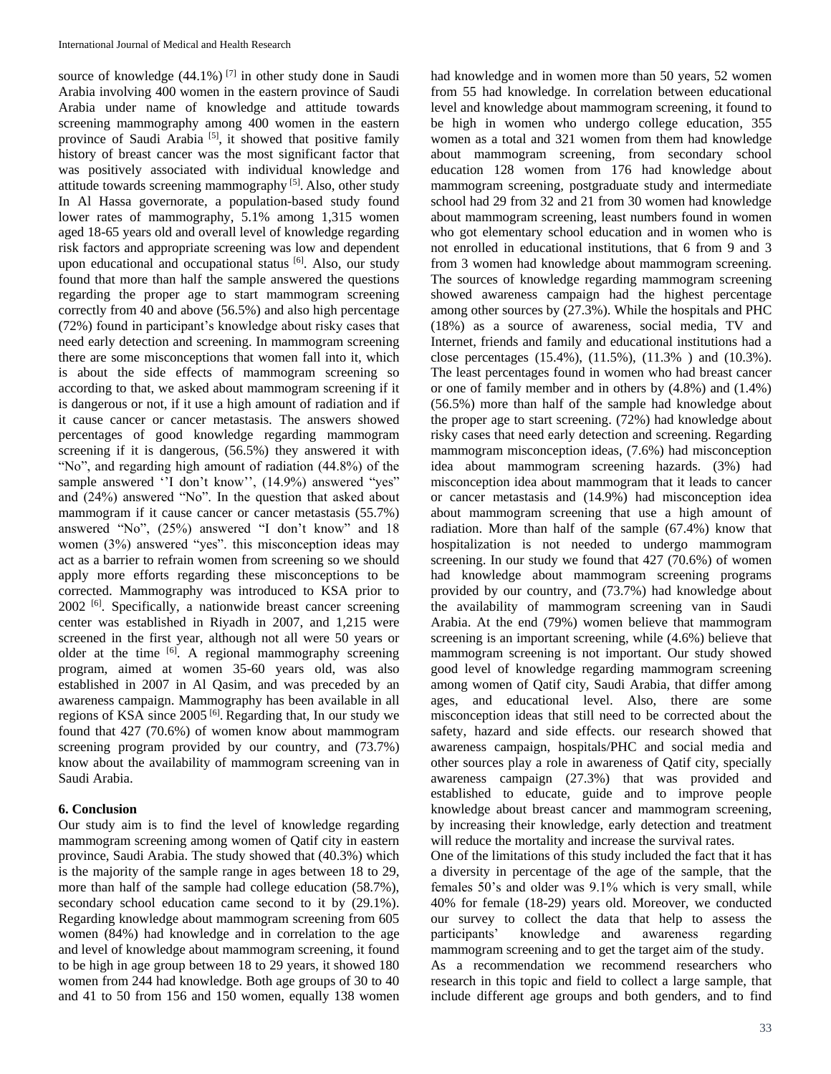source of knowledge  $(44.1\%)$ <sup>[7]</sup> in other study done in Saudi Arabia involving 400 women in the eastern province of Saudi Arabia under name of knowledge and attitude towards screening mammography among 400 women in the eastern province of Saudi Arabia<sup>[5]</sup>, it showed that positive family history of breast cancer was the most significant factor that was positively associated with individual knowledge and attitude towards screening mammography<sup>[5]</sup>. Also, other study In Al Hassa governorate, a population-based study found lower rates of mammography, 5.1% among 1,315 women aged 18-65 years old and overall level of knowledge regarding risk factors and appropriate screening was low and dependent upon educational and occupational status [6]. Also, our study found that more than half the sample answered the questions regarding the proper age to start mammogram screening correctly from 40 and above (56.5%) and also high percentage (72%) found in participant's knowledge about risky cases that need early detection and screening. In mammogram screening there are some misconceptions that women fall into it, which is about the side effects of mammogram screening so according to that, we asked about mammogram screening if it is dangerous or not, if it use a high amount of radiation and if it cause cancer or cancer metastasis. The answers showed percentages of good knowledge regarding mammogram screening if it is dangerous, (56.5%) they answered it with "No", and regarding high amount of radiation (44.8%) of the sample answered ''I don't know'', (14.9%) answered "yes" and (24%) answered "No". In the question that asked about mammogram if it cause cancer or cancer metastasis (55.7%) answered "No", (25%) answered "I don't know" and 18 women (3%) answered "yes". this misconception ideas may act as a barrier to refrain women from screening so we should apply more efforts regarding these misconceptions to be corrected. Mammography was introduced to KSA prior to 2002<sup>[6]</sup>. Specifically, a nationwide breast cancer screening center was established in Riyadh in 2007, and 1,215 were screened in the first year, although not all were 50 years or older at the time  $[6]$ . A regional mammography screening program, aimed at women 35-60 years old, was also established in 2007 in Al Qasim, and was preceded by an awareness campaign. Mammography has been available in all regions of KSA since 2005<sup>[6]</sup>. Regarding that, In our study we found that 427 (70.6%) of women know about mammogram screening program provided by our country, and (73.7%) know about the availability of mammogram screening van in Saudi Arabia.

## **6. Conclusion**

Our study aim is to find the level of knowledge regarding mammogram screening among women of Qatif city in eastern province, Saudi Arabia. The study showed that (40.3%) which is the majority of the sample range in ages between 18 to 29, more than half of the sample had college education (58.7%), secondary school education came second to it by (29.1%). Regarding knowledge about mammogram screening from 605 women (84%) had knowledge and in correlation to the age and level of knowledge about mammogram screening, it found to be high in age group between 18 to 29 years, it showed 180 women from 244 had knowledge. Both age groups of 30 to 40 and 41 to 50 from 156 and 150 women, equally 138 women had knowledge and in women more than 50 years, 52 women from 55 had knowledge. In correlation between educational level and knowledge about mammogram screening, it found to be high in women who undergo college education, 355 women as a total and 321 women from them had knowledge about mammogram screening, from secondary school education 128 women from 176 had knowledge about mammogram screening, postgraduate study and intermediate school had 29 from 32 and 21 from 30 women had knowledge about mammogram screening, least numbers found in women who got elementary school education and in women who is not enrolled in educational institutions, that 6 from 9 and 3 from 3 women had knowledge about mammogram screening. The sources of knowledge regarding mammogram screening showed awareness campaign had the highest percentage among other sources by (27.3%). While the hospitals and PHC (18%) as a source of awareness, social media, TV and Internet, friends and family and educational institutions had a close percentages (15.4%), (11.5%), (11.3% ) and (10.3%). The least percentages found in women who had breast cancer or one of family member and in others by (4.8%) and (1.4%) (56.5%) more than half of the sample had knowledge about the proper age to start screening. (72%) had knowledge about risky cases that need early detection and screening. Regarding mammogram misconception ideas, (7.6%) had misconception idea about mammogram screening hazards. (3%) had misconception idea about mammogram that it leads to cancer or cancer metastasis and (14.9%) had misconception idea about mammogram screening that use a high amount of radiation. More than half of the sample (67.4%) know that hospitalization is not needed to undergo mammogram screening. In our study we found that 427 (70.6%) of women had knowledge about mammogram screening programs provided by our country, and (73.7%) had knowledge about the availability of mammogram screening van in Saudi Arabia. At the end (79%) women believe that mammogram screening is an important screening, while (4.6%) believe that mammogram screening is not important. Our study showed good level of knowledge regarding mammogram screening among women of Qatif city, Saudi Arabia, that differ among ages, and educational level. Also, there are some misconception ideas that still need to be corrected about the safety, hazard and side effects. our research showed that awareness campaign, hospitals/PHC and social media and other sources play a role in awareness of Qatif city, specially awareness campaign (27.3%) that was provided and established to educate, guide and to improve people knowledge about breast cancer and mammogram screening, by increasing their knowledge, early detection and treatment will reduce the mortality and increase the survival rates.

One of the limitations of this study included the fact that it has a diversity in percentage of the age of the sample, that the females 50's and older was 9.1% which is very small, while 40% for female (18-29) years old. Moreover, we conducted our survey to collect the data that help to assess the participants' knowledge and awareness regarding mammogram screening and to get the target aim of the study.

As a recommendation we recommend researchers who research in this topic and field to collect a large sample, that include different age groups and both genders, and to find